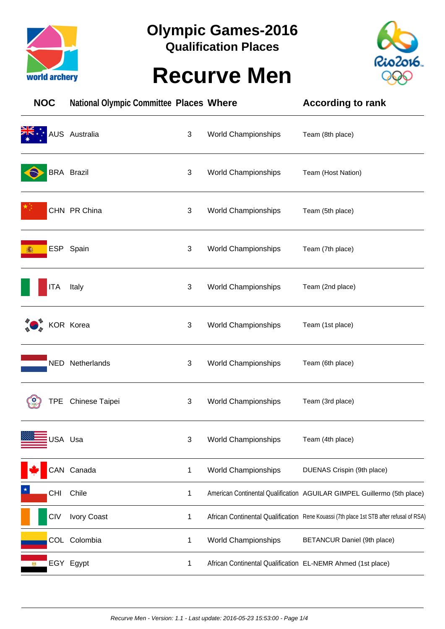

## **Olympic Games-2016**

**Qualification Places**

## **Recurve Men**



| <b>NOC</b> | <b>National Olympic Committee Places Where</b> |              |                                                             | <b>According to rank</b>                                                                |
|------------|------------------------------------------------|--------------|-------------------------------------------------------------|-----------------------------------------------------------------------------------------|
|            | AUS Australia                                  | 3            | <b>World Championships</b>                                  | Team (8th place)                                                                        |
|            | <b>BRA Brazil</b>                              | 3            | World Championships                                         | Team (Host Nation)                                                                      |
|            | CHN PR China                                   | 3            | <b>World Championships</b>                                  | Team (5th place)                                                                        |
|            | ESP Spain                                      | 3            | <b>World Championships</b>                                  | Team (7th place)                                                                        |
| <b>ITA</b> | Italy                                          | 3            | <b>World Championships</b>                                  | Team (2nd place)                                                                        |
|            | KOR Korea                                      | 3            | World Championships                                         | Team (1st place)                                                                        |
|            | NED Netherlands                                | 3            | <b>World Championships</b>                                  | Team (6th place)                                                                        |
|            | TPE Chinese Taipei                             | 3            | <b>World Championships</b>                                  | Team (3rd place)                                                                        |
|            | USA Usa                                        | 3            | <b>World Championships</b>                                  | Team (4th place)                                                                        |
|            | CAN Canada                                     | $\mathbf{1}$ | World Championships                                         | DUENAS Crispin (9th place)                                                              |
| <b>CHI</b> | Chile                                          | 1            |                                                             | American Continental Qualification AGUILAR GIMPEL Guillermo (5th place)                 |
| <b>CIV</b> | <b>Ivory Coast</b>                             | 1            |                                                             | African Continental Qualification Rene Kouassi (7th place 1st STB after refusal of RSA) |
|            | COL Colombia                                   | 1            | World Championships                                         | BETANCUR Daniel (9th place)                                                             |
|            | EGY Egypt                                      | 1            | African Continental Qualification EL-NEMR Ahmed (1st place) |                                                                                         |